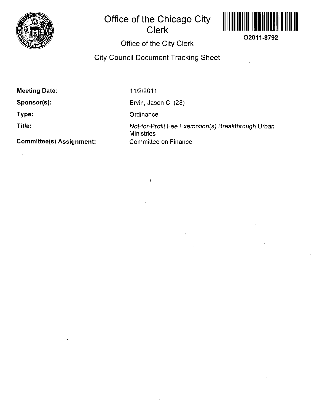

## **Office of the Chicago City Clerk**



**O2011-8792** 

## **Office of the City Clerk**

## **City Council Document Tracking Sheet**

**Meeting Date:** 

**Sponsor(s):** 

**Type:** 

**Title:** 

 $\alpha$ 

**Committee(s) Assignment:** 

11/2/2011

Ervin, Jason C. (28)

**Ordinance** 

į

Not-for-profit Fee Exemption(s) Breakthrough Urban **Ministries** Committee on Finance